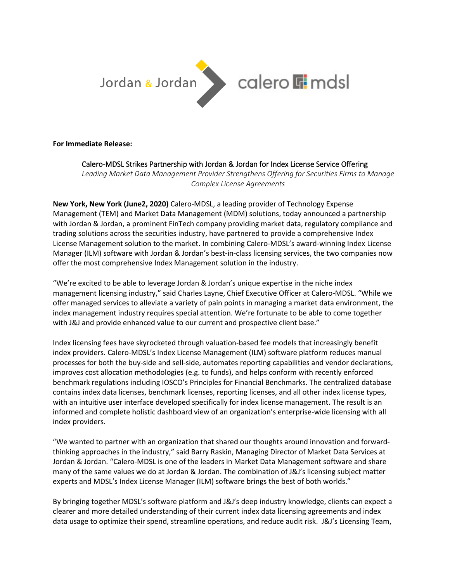

**For Immediate Release:**

## Calero-MDSL Strikes Partnership with Jordan & Jordan for Index License Service Offering

*Leading Market Data Management Provider Strengthens Offering for Securities Firms to Manage Complex License Agreements*

**New York, New York (June2, 2020)** Calero-MDSL, a leading provider of Technology Expense Management (TEM) and Market Data Management (MDM) solutions, today announced a partnership with Jordan & Jordan, a prominent FinTech company providing market data, regulatory compliance and trading solutions across the securities industry, have partnered to provide a comprehensive Index License Management solution to the market. In combining Calero-MDSL's award-winning Index License Manager (ILM) software with Jordan & Jordan's best-in-class licensing services, the two companies now offer the most comprehensive Index Management solution in the industry.

"We're excited to be able to leverage Jordan & Jordan's unique expertise in the niche index management licensing industry," said Charles Layne, Chief Executive Officer at Calero-MDSL. "While we offer managed services to alleviate a variety of pain points in managing a market data environment, the index management industry requires special attention. We're fortunate to be able to come together with J&J and provide enhanced value to our current and prospective client base."

Index licensing fees have skyrocketed through valuation-based fee models that increasingly benefit index providers. Calero-MDSL's Index License Management (ILM) software platform reduces manual processes for both the buy-side and sell-side, automates reporting capabilities and vendor declarations, improves cost allocation methodologies (e.g. to funds), and helps conform with recently enforced benchmark regulations including IOSCO's Principles for Financial Benchmarks. The centralized database contains index data licenses, benchmark licenses, reporting licenses, and all other index license types, with an intuitive user interface developed specifically for index license management. The result is an informed and complete holistic dashboard view of an organization's enterprise-wide licensing with all index providers.

"We wanted to partner with an organization that shared our thoughts around innovation and forwardthinking approaches in the industry," said Barry Raskin, Managing Director of Market Data Services at Jordan & Jordan. "Calero-MDSL is one of the leaders in Market Data Management software and share many of the same values we do at Jordan & Jordan. The combination of J&J's licensing subject matter experts and MDSL's Index License Manager (ILM) software brings the best of both worlds."

By bringing together MDSL's software platform and J&J's deep industry knowledge, clients can expect a clearer and more detailed understanding of their current index data licensing agreements and index data usage to optimize their spend, streamline operations, and reduce audit risk. J&J's Licensing Team,